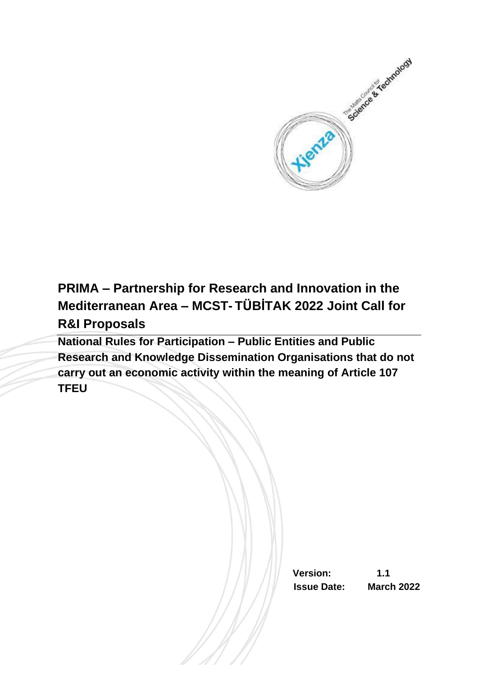

**PRIMA – Partnership for Research and Innovation in the Mediterranean Area – MCST- TÜBİTAK 2022 Joint Call for R&I Proposals**

**National Rules for Participation – Public Entities and Public Research and Knowledge Dissemination Organisations that do not carry out an economic activity within the meaning of Article 107 TFEU**

> **Version: 1.1 Issue Date: March 2022**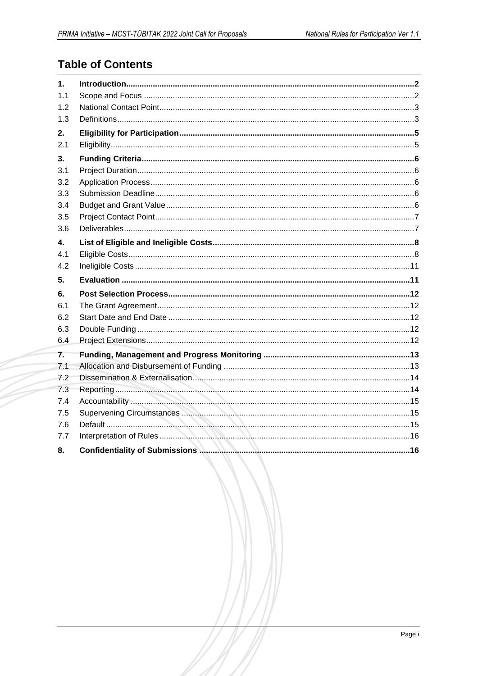# **Table of Contents**

| $\mathbf 1$ . |  |
|---------------|--|
| 1.1           |  |
| 1.2           |  |
| 1.3           |  |
| 2.            |  |
| 2.1           |  |
| 3.            |  |
| 3.1           |  |
| 3.2           |  |
| 3.3           |  |
| 3.4           |  |
| 3.5           |  |
| 3.6           |  |
| 4.            |  |
| 4.1           |  |
|               |  |
| 4.2           |  |
| 5.            |  |
| 6.            |  |
| 6.1           |  |
| 6.2           |  |
| 6.3           |  |
| 6.4           |  |
| 7.            |  |
| 7.1           |  |
| 7.2           |  |
| 7.3           |  |
| 7.4           |  |
| 7.5           |  |
| 7.6           |  |
| 7.7           |  |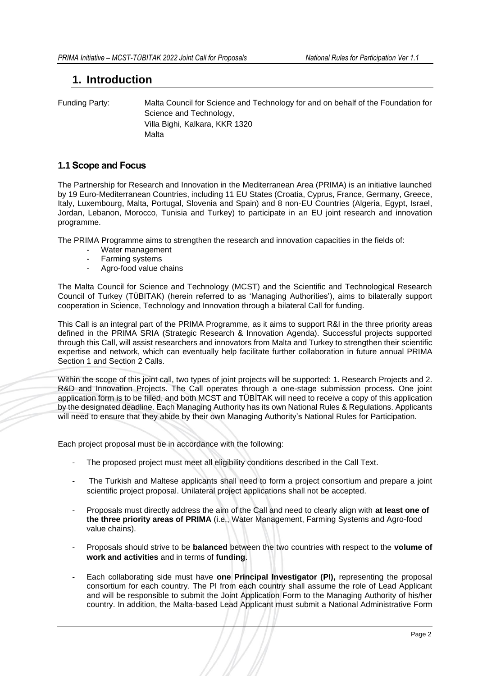# <span id="page-2-0"></span>**1. Introduction**

Funding Party: Malta Council for Science and Technology for and on behalf of the Foundation for Science and Technology, Villa Bighi, Kalkara, KKR 1320 Malta

## <span id="page-2-1"></span>**1.1 Scope and Focus**

The Partnership for Research and Innovation in the Mediterranean Area (PRIMA) is an initiative launched by 19 Euro-Mediterranean Countries, including 11 EU States (Croatia, Cyprus, France, Germany, Greece, Italy, Luxembourg, Malta, Portugal, Slovenia and Spain) and 8 non-EU Countries (Algeria, Egypt, Israel, Jordan, Lebanon, Morocco, Tunisia and Turkey) to participate in an EU joint research and innovation programme.

The PRIMA Programme aims to strengthen the research and innovation capacities in the fields of:

- Water management
- Farming systems<br>- Agro-food value of
- Agro-food value chains

The Malta Council for Science and Technology (MCST) and the Scientific and Technological Research Council of Turkey (TÜBITAK) (herein referred to as 'Managing Authorities'), aims to bilaterally support cooperation in Science, Technology and Innovation through a bilateral Call for funding.

This Call is an integral part of the PRIMA Programme, as it aims to support R&I in the three priority areas defined in the PRIMA SRIA (Strategic Research & Innovation Agenda). Successful projects supported through this Call, will assist researchers and innovators from Malta and Turkey to strengthen their scientific expertise and network, which can eventually help facilitate further collaboration in future annual PRIMA Section 1 and Section 2 Calls.

Within the scope of this joint call, two types of joint projects will be supported: 1. Research Projects and 2. R&D and Innovation Projects. The Call operates through a one-stage submission process. One joint application form is to be filled, and both MCST and TÜBİTAK will need to receive a copy of this application by the designated deadline. Each Managing Authority has its own National Rules & Regulations. Applicants will need to ensure that they abide by their own Managing Authority's National Rules for Participation.

Each project proposal must be in accordance with the following:

- The proposed project must meet all eligibility conditions described in the Call Text.
- The Turkish and Maltese applicants shall need to form a project consortium and prepare a joint scientific project proposal. Unilateral project applications shall not be accepted.
- Proposals must directly address the aim of the Call and need to clearly align with **at least one of the three priority areas of PRIMA** (i.e., Water Management, Farming Systems and Agro-food value chains).
- Proposals should strive to be **balanced** between the two countries with respect to the **volume of work and activities** and in terms of **funding**.
- Each collaborating side must have **one Principal Investigator (PI),** representing the proposal consortium for each country. The PI from each country shall assume the role of Lead Applicant and will be responsible to submit the Joint Application Form to the Managing Authority of his/her country. In addition, the Malta-based Lead Applicant must submit a National Administrative Form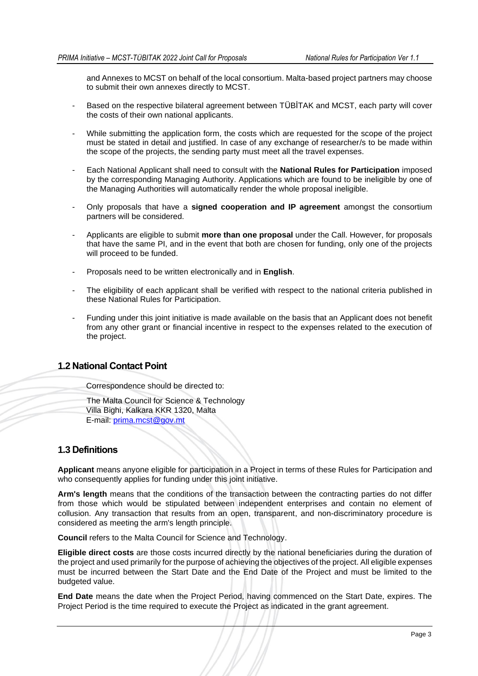and Annexes to MCST on behalf of the local consortium. Malta-based project partners may choose to submit their own annexes directly to MCST.

- Based on the respective bilateral agreement between TÜBİTAK and MCST, each party will cover the costs of their own national applicants.
- While submitting the application form, the costs which are requested for the scope of the project must be stated in detail and justified. In case of any exchange of researcher/s to be made within the scope of the projects, the sending party must meet all the travel expenses.
- Each National Applicant shall need to consult with the **National Rules for Participation** imposed by the corresponding Managing Authority. Applications which are found to be ineligible by one of the Managing Authorities will automatically render the whole proposal ineligible.
- Only proposals that have a **signed cooperation and IP agreement** amongst the consortium partners will be considered.
- Applicants are eligible to submit **more than one proposal** under the Call. However, for proposals that have the same PI, and in the event that both are chosen for funding, only one of the projects will proceed to be funded.
- Proposals need to be written electronically and in **English**.
- The eligibility of each applicant shall be verified with respect to the national criteria published in these National Rules for Participation.
- Funding under this joint initiative is made available on the basis that an Applicant does not benefit from any other grant or financial incentive in respect to the expenses related to the execution of the project.

# <span id="page-3-0"></span>**1.2 National Contact Point**

Correspondence should be directed to:

The Malta Council for Science & Technology Villa Bighi, Kalkara KKR 1320, Malta E-mail: [prima.mcst@gov.mt](mailto:prima.mcst@gov.mt)

### <span id="page-3-1"></span>**1.3 Definitions**

**Applicant** means anyone eligible for participation in a Project in terms of these Rules for Participation and who consequently applies for funding under this joint initiative.

**Arm's length** means that the conditions of the transaction between the contracting parties do not differ from those which would be stipulated between independent enterprises and contain no element of collusion. Any transaction that results from an open, transparent, and non-discriminatory procedure is considered as meeting the arm's length principle.

**Council** refers to the Malta Council for Science and Technology.

**Eligible direct costs** are those costs incurred directly by the national beneficiaries during the duration of the project and used primarily for the purpose of achieving the objectives of the project. All eligible expenses must be incurred between the Start Date and the End Date of the Project and must be limited to the budgeted value.

**End Date** means the date when the Project Period, having commenced on the Start Date, expires. The Project Period is the time required to execute the Project as indicated in the grant agreement.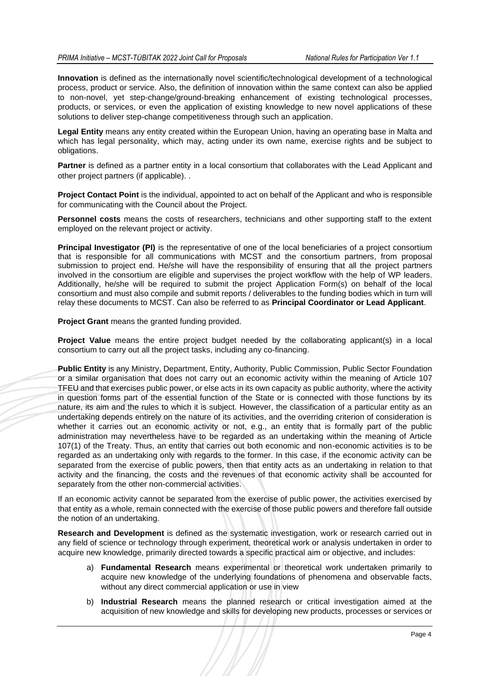**Innovation** is defined as the internationally novel scientific/technological development of a technological process, product or service. Also, the definition of innovation within the same context can also be applied to non-novel, yet step-change/ground-breaking enhancement of existing technological processes, products, or services, or even the application of existing knowledge to new novel applications of these solutions to deliver step-change competitiveness through such an application.

**Legal Entity** means any entity created within the European Union, having an operating base in Malta and which has legal personality, which may, acting under its own name, exercise rights and be subject to obligations.

**Partner** is defined as a partner entity in a local consortium that collaborates with the Lead Applicant and other project partners (if applicable). .

**Project Contact Point** is the individual, appointed to act on behalf of the Applicant and who is responsible for communicating with the Council about the Project.

**Personnel costs** means the costs of researchers, technicians and other supporting staff to the extent employed on the relevant project or activity.

**Principal Investigator (PI)** is the representative of one of the local beneficiaries of a project consortium that is responsible for all communications with MCST and the consortium partners, from proposal submission to project end. He/she will have the responsibility of ensuring that all the project partners involved in the consortium are eligible and supervises the project workflow with the help of WP leaders. Additionally, he/she will be required to submit the project Application Form(s) on behalf of the local consortium and must also compile and submit reports / deliverables to the funding bodies which in turn will relay these documents to MCST. Can also be referred to as **Principal Coordinator or Lead Applicant**.

**Project Grant** means the granted funding provided.

**Project Value** means the entire project budget needed by the collaborating applicant(s) in a local consortium to carry out all the project tasks, including any co-financing.

**Public Entity** is any Ministry, Department, Entity, Authority, Public Commission, Public Sector Foundation or a similar organisation that does not carry out an economic activity within the meaning of Article 107 TFEU and that exercises public power, or else acts in its own capacity as public authority, where the activity in question forms part of the essential function of the State or is connected with those functions by its nature, its aim and the rules to which it is subject. However, the classification of a particular entity as an undertaking depends entirely on the nature of its activities, and the overriding criterion of consideration is whether it carries out an economic activity or not, e.g., an entity that is formally part of the public administration may nevertheless have to be regarded as an undertaking within the meaning of Article 107(1) of the Treaty. Thus, an entity that carries out both economic and non-economic activities is to be regarded as an undertaking only with regards to the former. In this case, if the economic activity can be separated from the exercise of public powers, then that entity acts as an undertaking in relation to that activity and the financing, the costs and the revenues of that economic activity shall be accounted for separately from the other non-commercial activities.

If an economic activity cannot be separated from the exercise of public power, the activities exercised by that entity as a whole, remain connected with the exercise of those public powers and therefore fall outside the notion of an undertaking.

**Research and Development** is defined as the systematic investigation, work or research carried out in any field of science or technology through experiment, theoretical work or analysis undertaken in order to acquire new knowledge, primarily directed towards a specific practical aim or objective, and includes:

- a) **Fundamental Research** means experimental or theoretical work undertaken primarily to acquire new knowledge of the underlying foundations of phenomena and observable facts, without any direct commercial application or use in view
- b) **Industrial Research** means the planned research or critical investigation aimed at the acquisition of new knowledge and skills for developing new products, processes or services or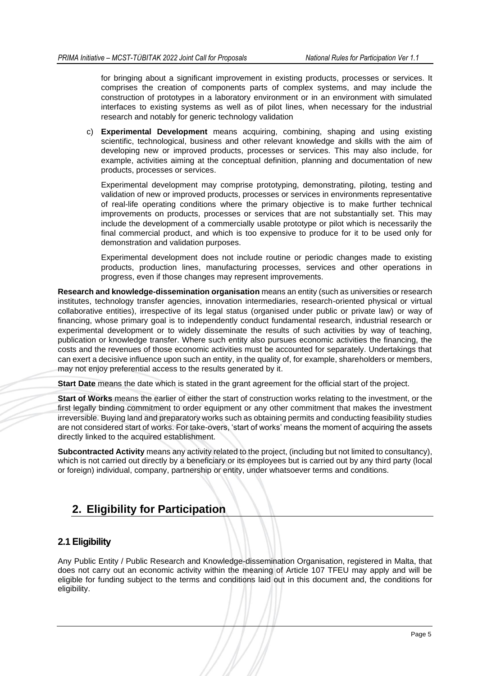for bringing about a significant improvement in existing products, processes or services. It comprises the creation of components parts of complex systems, and may include the construction of prototypes in a laboratory environment or in an environment with simulated interfaces to existing systems as well as of pilot lines, when necessary for the industrial research and notably for generic technology validation

c) **Experimental Development** means acquiring, combining, shaping and using existing scientific, technological, business and other relevant knowledge and skills with the aim of developing new or improved products, processes or services. This may also include, for example, activities aiming at the conceptual definition, planning and documentation of new products, processes or services.

Experimental development may comprise prototyping, demonstrating, piloting, testing and validation of new or improved products, processes or services in environments representative of real-life operating conditions where the primary objective is to make further technical improvements on products, processes or services that are not substantially set. This may include the development of a commercially usable prototype or pilot which is necessarily the final commercial product, and which is too expensive to produce for it to be used only for demonstration and validation purposes.

Experimental development does not include routine or periodic changes made to existing products, production lines, manufacturing processes, services and other operations in progress, even if those changes may represent improvements.

**Research and knowledge-dissemination organisation** means an entity (such as universities or research institutes, technology transfer agencies, innovation intermediaries, research-oriented physical or virtual collaborative entities), irrespective of its legal status (organised under public or private law) or way of financing, whose primary goal is to independently conduct fundamental research, industrial research or experimental development or to widely disseminate the results of such activities by way of teaching, publication or knowledge transfer. Where such entity also pursues economic activities the financing, the costs and the revenues of those economic activities must be accounted for separately. Undertakings that can exert a decisive influence upon such an entity, in the quality of, for example, shareholders or members, may not enjoy preferential access to the results generated by it.

**Start Date** means the date which is stated in the grant agreement for the official start of the project.

**Start of Works** means the earlier of either the start of construction works relating to the investment, or the first legally binding commitment to order equipment or any other commitment that makes the investment irreversible. Buying land and preparatory works such as obtaining permits and conducting feasibility studies are not considered start of works. For take-overs, 'start of works' means the moment of acquiring the assets directly linked to the acquired establishment.

**Subcontracted Activity** means any activity related to the project, (including but not limited to consultancy), which is not carried out directly by a beneficiary or its employees but is carried out by any third party (local or foreign) individual, company, partnership or entity, under whatsoever terms and conditions.

# <span id="page-5-0"></span>**2. Eligibility for Participation**

### <span id="page-5-1"></span>**2.1 Eligibility**

Any Public Entity / Public Research and Knowledge-dissemination Organisation, registered in Malta, that does not carry out an economic activity within the meaning of Article 107 TFEU may apply and will be eligible for funding subject to the terms and conditions laid out in this document and, the conditions for eligibility.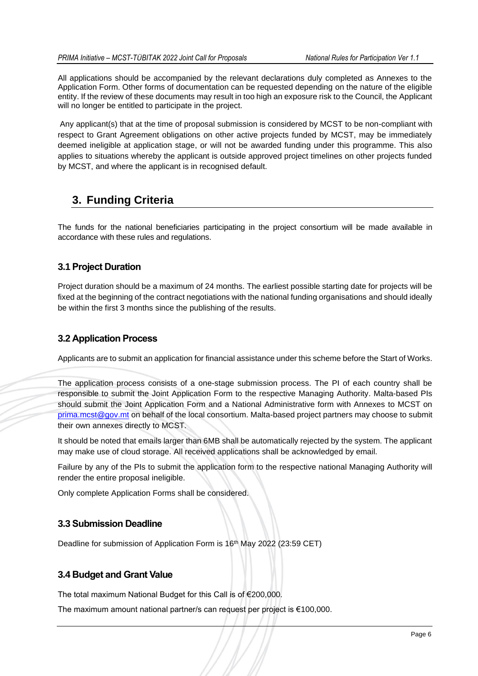All applications should be accompanied by the relevant declarations duly completed as Annexes to the Application Form. Other forms of documentation can be requested depending on the nature of the eligible entity. If the review of these documents may result in too high an exposure risk to the Council, the Applicant will no longer be entitled to participate in the project.

Any applicant(s) that at the time of proposal submission is considered by MCST to be non-compliant with respect to Grant Agreement obligations on other active projects funded by MCST, may be immediately deemed ineligible at application stage, or will not be awarded funding under this programme. This also applies to situations whereby the applicant is outside approved project timelines on other projects funded by MCST, and where the applicant is in recognised default.

# <span id="page-6-0"></span>**3. Funding Criteria**

The funds for the national beneficiaries participating in the project consortium will be made available in accordance with these rules and regulations.

# <span id="page-6-1"></span>**3.1 Project Duration**

Project duration should be a maximum of 24 months. The earliest possible starting date for projects will be fixed at the beginning of the contract negotiations with the national funding organisations and should ideally be within the first 3 months since the publishing of the results.

# <span id="page-6-2"></span>**3.2 Application Process**

Applicants are to submit an application for financial assistance under this scheme before the Start of Works.

The application process consists of a one-stage submission process. The PI of each country shall be responsible to submit the Joint Application Form to the respective Managing Authority. Malta-based PIs should submit the Joint Application Form and a National Administrative form with Annexes to MCST on [prima.mcst@gov.mt](mailto:prima.mcst@gov.mt) on behalf of the local consortium. Malta-based project partners may choose to submit their own annexes directly to MCST.

It should be noted that emails larger than 6MB shall be automatically rejected by the system. The applicant may make use of cloud storage. All received applications shall be acknowledged by email.

Failure by any of the PIs to submit the application form to the respective national Managing Authority will render the entire proposal ineligible.

Only complete Application Forms shall be considered.

# <span id="page-6-3"></span>**3.3 Submission Deadline**

Deadline for submission of Application Form is 16<sup>th</sup> May 2022 (23:59 CET)

# <span id="page-6-4"></span>**3.4 Budget and Grant Value**

The total maximum National Budget for this Call is of €200,000.

The maximum amount national partner/s can request per project is €100,000.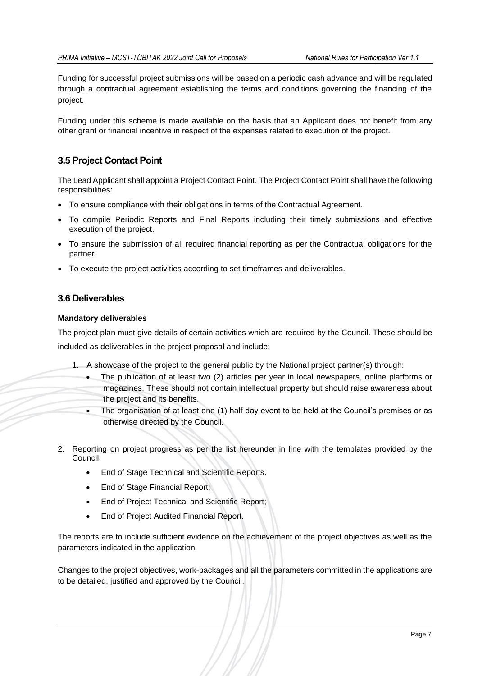Funding for successful project submissions will be based on a periodic cash advance and will be regulated through a contractual agreement establishing the terms and conditions governing the financing of the project.

Funding under this scheme is made available on the basis that an Applicant does not benefit from any other grant or financial incentive in respect of the expenses related to execution of the project.

# <span id="page-7-0"></span>**3.5 Project Contact Point**

The Lead Applicant shall appoint a Project Contact Point. The Project Contact Point shall have the following responsibilities:

- To ensure compliance with their obligations in terms of the Contractual Agreement.
- To compile Periodic Reports and Final Reports including their timely submissions and effective execution of the project.
- To ensure the submission of all required financial reporting as per the Contractual obligations for the partner.
- To execute the project activities according to set timeframes and deliverables.

## <span id="page-7-1"></span>**3.6 Deliverables**

#### **Mandatory deliverables**

The project plan must give details of certain activities which are required by the Council. These should be included as deliverables in the project proposal and include:

- 1. A showcase of the project to the general public by the National project partner(s) through:
	- The publication of at least two (2) articles per year in local newspapers, online platforms or magazines. These should not contain intellectual property but should raise awareness about the project and its benefits.
	- The organisation of at least one (1) half-day event to be held at the Council's premises or as otherwise directed by the Council.
- 2. Reporting on project progress as per the list hereunder in line with the templates provided by the Council.
	- End of Stage Technical and Scientific Reports.
	- End of Stage Financial Report;
	- End of Project Technical and Scientific Report;
	- End of Project Audited Financial Report.

The reports are to include sufficient evidence on the achievement of the project objectives as well as the parameters indicated in the application.

Changes to the project objectives, work-packages and all the parameters committed in the applications are to be detailed, justified and approved by the Council.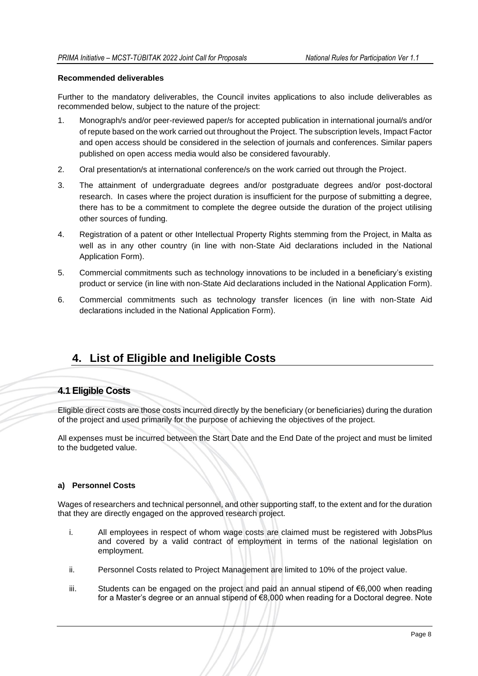#### **Recommended deliverables**

Further to the mandatory deliverables, the Council invites applications to also include deliverables as recommended below, subject to the nature of the project:

- 1. Monograph/s and/or peer-reviewed paper/s for accepted publication in international journal/s and/or of repute based on the work carried out throughout the Project. The subscription levels, Impact Factor and open access should be considered in the selection of journals and conferences. Similar papers published on open access media would also be considered favourably.
- 2. Oral presentation/s at international conference/s on the work carried out through the Project.
- 3. The attainment of undergraduate degrees and/or postgraduate degrees and/or post-doctoral research. In cases where the project duration is insufficient for the purpose of submitting a degree, there has to be a commitment to complete the degree outside the duration of the project utilising other sources of funding.
- 4. Registration of a patent or other Intellectual Property Rights stemming from the Project, in Malta as well as in any other country (in line with non-State Aid declarations included in the National Application Form).
- 5. Commercial commitments such as technology innovations to be included in a beneficiary's existing product or service (in line with non-State Aid declarations included in the National Application Form).
- 6. Commercial commitments such as technology transfer licences (in line with non-State Aid declarations included in the National Application Form).

# <span id="page-8-0"></span>**4. List of Eligible and Ineligible Costs**

### <span id="page-8-1"></span>**4.1 Eligible Costs**

Eligible direct costs are those costs incurred directly by the beneficiary (or beneficiaries) during the duration of the project and used primarily for the purpose of achieving the objectives of the project.

All expenses must be incurred between the Start Date and the End Date of the project and must be limited to the budgeted value.

#### **a) Personnel Costs**

Wages of researchers and technical personnel, and other supporting staff, to the extent and for the duration that they are directly engaged on the approved research project.

- i. All employees in respect of whom wage costs are claimed must be registered with JobsPlus and covered by a valid contract of employment in terms of the national legislation on employment.
- ii. Personnel Costs related to Project Management are limited to 10% of the project value.
- iii. Students can be engaged on the project and paid an annual stipend of €6,000 when reading for a Master's degree or an annual stipend of €8,000 when reading for a Doctoral degree. Note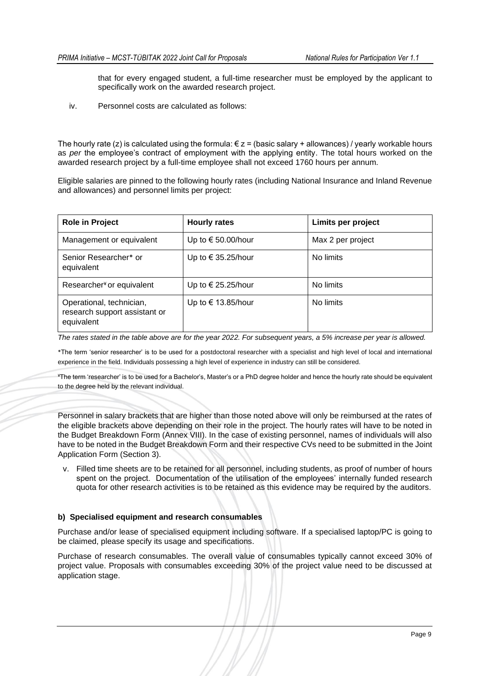that for every engaged student, a full-time researcher must be employed by the applicant to specifically work on the awarded research project.

iv. Personnel costs are calculated as follows:

The hourly rate (z) is calculated using the formula:  $\epsilon$  z = (basic salary + allowances) / yearly workable hours as *per* the employee's contract of employment with the applying entity. The total hours worked on the awarded research project by a full-time employee shall not exceed 1760 hours per annum.

Eligible salaries are pinned to the following hourly rates (including National Insurance and Inland Revenue and allowances) and personnel limits per project:

| <b>Role in Project</b>                                                  | <b>Hourly rates</b>         | Limits per project |
|-------------------------------------------------------------------------|-----------------------------|--------------------|
| Management or equivalent                                                | Up to $\epsilon$ 50.00/hour | Max 2 per project  |
| Senior Researcher* or<br>equivalent                                     | Up to $\in$ 35.25/hour      | No limits          |
| Researcher <sup>¥</sup> or equivalent                                   | Up to $\in$ 25.25/hour      | No limits          |
| Operational, technician,<br>research support assistant or<br>equivalent | Up to € 13.85/hour          | No limits          |

*The rates stated in the table above are for the year 2022. For subsequent years, a 5% increase per year is allowed.* 

\*The term 'senior researcher' is to be used for a postdoctoral researcher with a specialist and high level of local and international experience in the field. Individuals possessing a high level of experience in industry can still be considered.

¥The term 'researcher' is to be used for a Bachelor's, Master's or a PhD degree holder and hence the hourly rate should be equivalent to the degree held by the relevant individual.

Personnel in salary brackets that are higher than those noted above will only be reimbursed at the rates of the eligible brackets above depending on their role in the project. The hourly rates will have to be noted in the Budget Breakdown Form (Annex VIII). In the case of existing personnel, names of individuals will also have to be noted in the Budget Breakdown Form and their respective CVs need to be submitted in the Joint Application Form (Section 3).

v. Filled time sheets are to be retained for all personnel, including students, as proof of number of hours spent on the project. Documentation of the utilisation of the employees' internally funded research quota for other research activities is to be retained as this evidence may be required by the auditors.

#### **b) Specialised equipment and research consumables**

Purchase and/or lease of specialised equipment including software. If a specialised laptop/PC is going to be claimed, please specify its usage and specifications.

Purchase of research consumables. The overall value of consumables typically cannot exceed 30% of project value. Proposals with consumables exceeding 30% of the project value need to be discussed at application stage.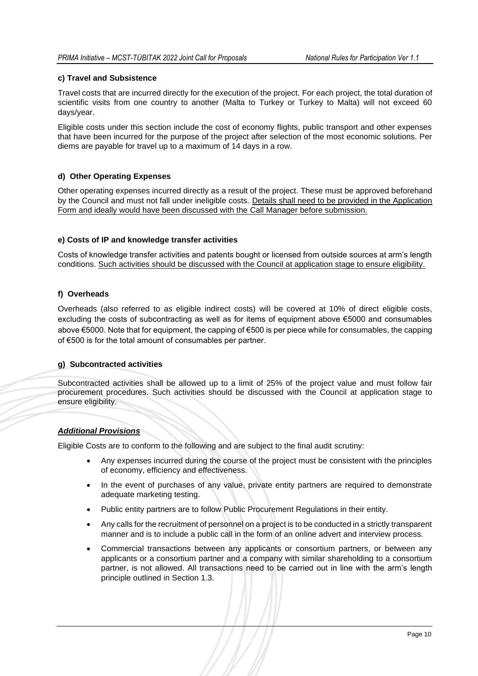#### **c) Travel and Subsistence**

Travel costs that are incurred directly for the execution of the project. For each project, the total duration of scientific visits from one country to another (Malta to Turkey or Turkey to Malta) will not exceed 60 days/year.

Eligible costs under this section include the cost of economy flights, public transport and other expenses that have been incurred for the purpose of the project after selection of the most economic solutions. Per diems are payable for travel up to a maximum of 14 days in a row.

#### **d) Other Operating Expenses**

Other operating expenses incurred directly as a result of the project. These must be approved beforehand by the Council and must not fall under ineligible costs. Details shall need to be provided in the Application Form and ideally would have been discussed with the Call Manager before submission.

#### **e) Costs of IP and knowledge transfer activities**

Costs of knowledge transfer activities and patents bought or licensed from outside sources at arm's length conditions. Such activities should be discussed with the Council at application stage to ensure eligibility.

#### **f) Overheads**

Overheads (also referred to as eligible indirect costs) will be covered at 10% of direct eligible costs, excluding the costs of subcontracting as well as for items of equipment above €5000 and consumables above €5000. Note that for equipment, the capping of €500 is per piece while for consumables, the capping of €500 is for the total amount of consumables per partner.

#### **g) Subcontracted activities**

Subcontracted activities shall be allowed up to a limit of 25% of the project value and must follow fair procurement procedures. Such activities should be discussed with the Council at application stage to ensure eligibility.

#### *Additional Provisions*

Eligible Costs are to conform to the following and are subject to the final audit scrutiny:

- Any expenses incurred during the course of the project must be consistent with the principles of economy, efficiency and effectiveness.
- In the event of purchases of any value, private entity partners are required to demonstrate adequate marketing testing.
- Public entity partners are to follow Public Procurement Regulations in their entity.
- Any calls for the recruitment of personnel on a project is to be conducted in a strictly transparent manner and is to include a public call in the form of an online advert and interview process.
- Commercial transactions between any applicants or consortium partners, or between any applicants or a consortium partner and a company with similar shareholding to a consortium partner, is not allowed. All transactions need to be carried out in line with the arm's length principle outlined in Section 1.3.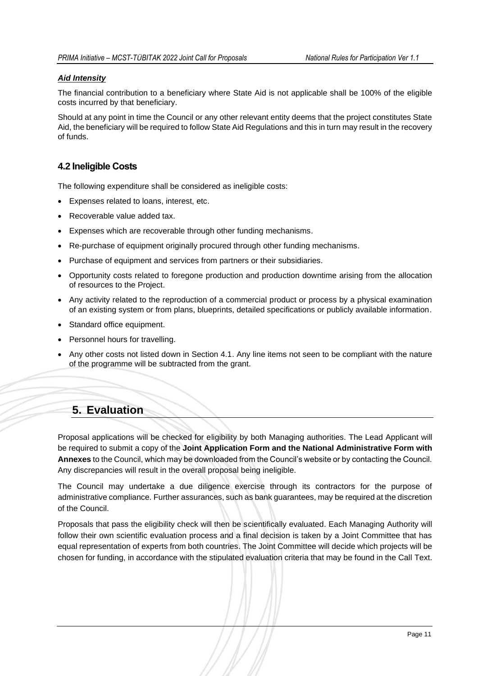### *Aid Intensity*

The financial contribution to a beneficiary where State Aid is not applicable shall be 100% of the eligible costs incurred by that beneficiary.

Should at any point in time the Council or any other relevant entity deems that the project constitutes State Aid, the beneficiary will be required to follow State Aid Regulations and this in turn may result in the recovery of funds.

## <span id="page-11-0"></span>**4.2 Ineligible Costs**

The following expenditure shall be considered as ineligible costs:

- Expenses related to loans, interest, etc.
- Recoverable value added tax.
- Expenses which are recoverable through other funding mechanisms.
- Re-purchase of equipment originally procured through other funding mechanisms.
- Purchase of equipment and services from partners or their subsidiaries.
- Opportunity costs related to foregone production and production downtime arising from the allocation of resources to the Project.
- Any activity related to the reproduction of a commercial product or process by a physical examination of an existing system or from plans, blueprints, detailed specifications or publicly available information.
- Standard office equipment.
- Personnel hours for travelling.
- Any other costs not listed down in Section 4.1. Any line items not seen to be compliant with the nature of the programme will be subtracted from the grant.

# <span id="page-11-1"></span>**5. Evaluation**

Proposal applications will be checked for eligibility by both Managing authorities. The Lead Applicant will be required to submit a copy of the **Joint Application Form and the National Administrative Form with Annexes** to the Council, which may be downloaded from the Council's website or by contacting the Council. Any discrepancies will result in the overall proposal being ineligible.

The Council may undertake a due diligence exercise through its contractors for the purpose of administrative compliance. Further assurances, such as bank guarantees, may be required at the discretion of the Council.

Proposals that pass the eligibility check will then be scientifically evaluated. Each Managing Authority will follow their own scientific evaluation process and a final decision is taken by a Joint Committee that has equal representation of experts from both countries. The Joint Committee will decide which projects will be chosen for funding, in accordance with the stipulated evaluation criteria that may be found in the Call Text.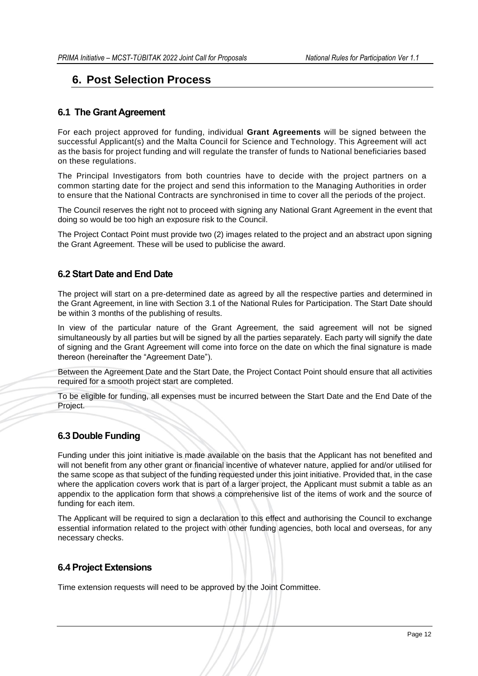# <span id="page-12-1"></span><span id="page-12-0"></span>**6. Post Selection Process**

### **6.1 The Grant Agreement**

For each project approved for funding, individual **Grant Agreements** will be signed between the successful Applicant(s) and the Malta Council for Science and Technology. This Agreement will act as the basis for project funding and will regulate the transfer of funds to National beneficiaries based on these regulations.

The Principal Investigators from both countries have to decide with the project partners on a common starting date for the project and send this information to the Managing Authorities in order to ensure that the National Contracts are synchronised in time to cover all the periods of the project.

The Council reserves the right not to proceed with signing any National Grant Agreement in the event that doing so would be too high an exposure risk to the Council.

The Project Contact Point must provide two (2) images related to the project and an abstract upon signing the Grant Agreement. These will be used to publicise the award.

### <span id="page-12-2"></span>**6.2 Start Date and End Date**

The project will start on a pre-determined date as agreed by all the respective parties and determined in the Grant Agreement, in line with Section 3.1 of the National Rules for Participation. The Start Date should be within 3 months of the publishing of results.

In view of the particular nature of the Grant Agreement, the said agreement will not be signed simultaneously by all parties but will be signed by all the parties separately. Each party will signify the date of signing and the Grant Agreement will come into force on the date on which the final signature is made thereon (hereinafter the "Agreement Date").

Between the Agreement Date and the Start Date, the Project Contact Point should ensure that all activities required for a smooth project start are completed.

To be eligible for funding, all expenses must be incurred between the Start Date and the End Date of the Project.

### <span id="page-12-3"></span>**6.3 Double Funding**

Funding under this joint initiative is made available on the basis that the Applicant has not benefited and will not benefit from any other grant or financial incentive of whatever nature, applied for and/or utilised for the same scope as that subject of the funding requested under this joint initiative. Provided that, in the case where the application covers work that is part of a larger project, the Applicant must submit a table as an appendix to the application form that shows a comprehensive list of the items of work and the source of funding for each item.

The Applicant will be required to sign a declaration to this effect and authorising the Council to exchange essential information related to the project with other funding agencies, both local and overseas, for any necessary checks.

#### <span id="page-12-4"></span>**6.4 Project Extensions**

Time extension requests will need to be approved by the Joint Committee.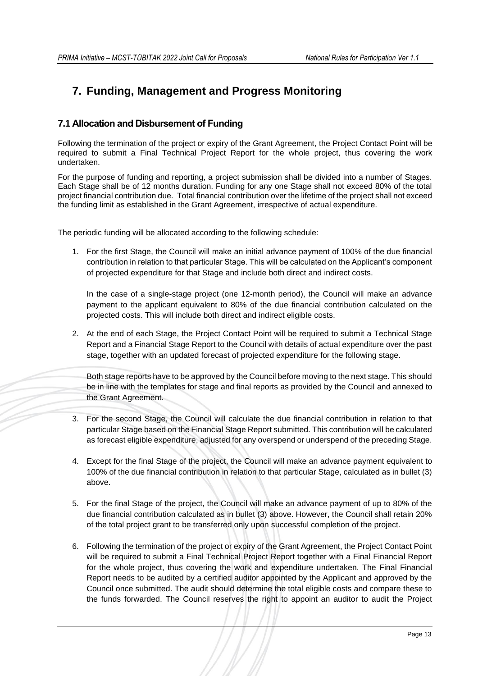# <span id="page-13-0"></span>**7. Funding, Management and Progress Monitoring**

# <span id="page-13-1"></span>**7.1 Allocation and Disbursement of Funding**

Following the termination of the project or expiry of the Grant Agreement, the Project Contact Point will be required to submit a Final Technical Project Report for the whole project, thus covering the work undertaken.

For the purpose of funding and reporting, a project submission shall be divided into a number of Stages. Each Stage shall be of 12 months duration. Funding for any one Stage shall not exceed 80% of the total project financial contribution due. Total financial contribution over the lifetime of the project shall not exceed the funding limit as established in the Grant Agreement, irrespective of actual expenditure.

The periodic funding will be allocated according to the following schedule:

1. For the first Stage, the Council will make an initial advance payment of 100% of the due financial contribution in relation to that particular Stage. This will be calculated on the Applicant's component of projected expenditure for that Stage and include both direct and indirect costs.

In the case of a single-stage project (one 12-month period), the Council will make an advance payment to the applicant equivalent to 80% of the due financial contribution calculated on the projected costs. This will include both direct and indirect eligible costs.

2. At the end of each Stage, the Project Contact Point will be required to submit a Technical Stage Report and a Financial Stage Report to the Council with details of actual expenditure over the past stage, together with an updated forecast of projected expenditure for the following stage.

Both stage reports have to be approved by the Council before moving to the next stage. This should be in line with the templates for stage and final reports as provided by the Council and annexed to the Grant Agreement.

- 3. For the second Stage, the Council will calculate the due financial contribution in relation to that particular Stage based on the Financial Stage Report submitted. This contribution will be calculated as forecast eligible expenditure, adjusted for any overspend or underspend of the preceding Stage.
- 4. Except for the final Stage of the project, the Council will make an advance payment equivalent to 100% of the due financial contribution in relation to that particular Stage, calculated as in bullet (3) above.
- 5. For the final Stage of the project, the Council will make an advance payment of up to 80% of the due financial contribution calculated as in bullet (3) above. However, the Council shall retain 20% of the total project grant to be transferred only upon successful completion of the project.
- 6. Following the termination of the project or expiry of the Grant Agreement, the Project Contact Point will be required to submit a Final Technical Project Report together with a Final Financial Report for the whole project, thus covering the work and expenditure undertaken. The Final Financial Report needs to be audited by a certified auditor appointed by the Applicant and approved by the Council once submitted. The audit should determine the total eligible costs and compare these to the funds forwarded. The Council reserves the right to appoint an auditor to audit the Project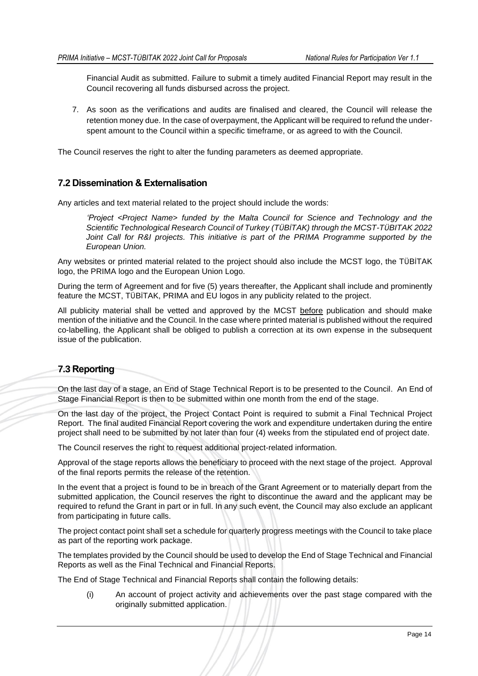Financial Audit as submitted. Failure to submit a timely audited Financial Report may result in the Council recovering all funds disbursed across the project.

7. As soon as the verifications and audits are finalised and cleared, the Council will release the retention money due. In the case of overpayment, the Applicant will be required to refund the underspent amount to the Council within a specific timeframe, or as agreed to with the Council.

The Council reserves the right to alter the funding parameters as deemed appropriate.

### <span id="page-14-0"></span>**7.2 Dissemination & Externalisation**

Any articles and text material related to the project should include the words:

*'Project <Project Name> funded by the Malta Council for Science and Technology and the Scientific Technological Research Council of Turkey (TÜBİTAK) through the MCST-TÜBITAK 2022 Joint Call for R&I projects. This initiative is part of the PRIMA Programme supported by the European Union.*

Any websites or printed material related to the project should also include the MCST logo, the TÜBİTAK logo, the PRIMA logo and the European Union Logo.

During the term of Agreement and for five (5) years thereafter, the Applicant shall include and prominently feature the MCST, TÜBİTAK, PRIMA and EU logos in any publicity related to the project.

All publicity material shall be vetted and approved by the MCST before publication and should make mention of the initiative and the Council. In the case where printed material is published without the required co-labelling, the Applicant shall be obliged to publish a correction at its own expense in the subsequent issue of the publication.

# <span id="page-14-1"></span>**7.3 Reporting**

On the last day of a stage, an End of Stage Technical Report is to be presented to the Council. An End of Stage Financial Report is then to be submitted within one month from the end of the stage.

On the last day of the project, the Project Contact Point is required to submit a Final Technical Project Report. The final audited Financial Report covering the work and expenditure undertaken during the entire project shall need to be submitted by not later than four (4) weeks from the stipulated end of project date.

The Council reserves the right to request additional project-related information.

Approval of the stage reports allows the beneficiary to proceed with the next stage of the project. Approval of the final reports permits the release of the retention.

In the event that a project is found to be in breach of the Grant Agreement or to materially depart from the submitted application, the Council reserves the right to discontinue the award and the applicant may be required to refund the Grant in part or in full. In any such event, the Council may also exclude an applicant from participating in future calls.

The project contact point shall set a schedule for quarterly progress meetings with the Council to take place as part of the reporting work package.

The templates provided by the Council should be used to develop the End of Stage Technical and Financial Reports as well as the Final Technical and Financial Reports.

The End of Stage Technical and Financial Reports shall contain the following details:

(i) An account of project activity and achievements over the past stage compared with the originally submitted application.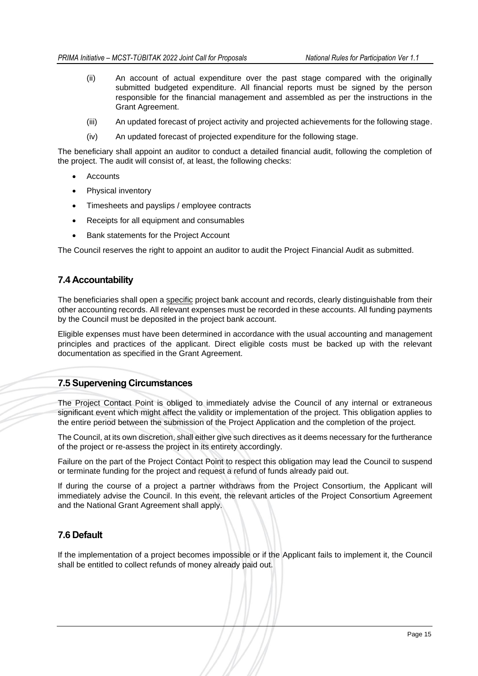- (ii) An account of actual expenditure over the past stage compared with the originally submitted budgeted expenditure. All financial reports must be signed by the person responsible for the financial management and assembled as per the instructions in the Grant Agreement.
- (iii) An updated forecast of project activity and projected achievements for the following stage.
- (iv) An updated forecast of projected expenditure for the following stage.

The beneficiary shall appoint an auditor to conduct a detailed financial audit, following the completion of the project. The audit will consist of, at least, the following checks:

- **Accounts**
- Physical inventory
- Timesheets and payslips / employee contracts
- Receipts for all equipment and consumables
- Bank statements for the Project Account

The Council reserves the right to appoint an auditor to audit the Project Financial Audit as submitted.

### <span id="page-15-0"></span>**7.4 Accountability**

The beneficiaries shall open a specific project bank account and records, clearly distinguishable from their other accounting records. All relevant expenses must be recorded in these accounts. All funding payments by the Council must be deposited in the project bank account.

Eligible expenses must have been determined in accordance with the usual accounting and management principles and practices of the applicant. Direct eligible costs must be backed up with the relevant documentation as specified in the Grant Agreement.

### <span id="page-15-1"></span>**7.5 Supervening Circumstances**

The Project Contact Point is obliged to immediately advise the Council of any internal or extraneous significant event which might affect the validity or implementation of the project. This obligation applies to the entire period between the submission of the Project Application and the completion of the project.

The Council, at its own discretion, shall either give such directives as it deems necessary for the furtherance of the project or re-assess the project in its entirety accordingly.

Failure on the part of the Project Contact Point to respect this obligation may lead the Council to suspend or terminate funding for the project and request a refund of funds already paid out.

If during the course of a project a partner withdraws from the Project Consortium, the Applicant will immediately advise the Council. In this event, the relevant articles of the Project Consortium Agreement and the National Grant Agreement shall apply.

### <span id="page-15-2"></span>**7.6 Default**

If the implementation of a project becomes impossible or if the Applicant fails to implement it, the Council shall be entitled to collect refunds of money already paid out.